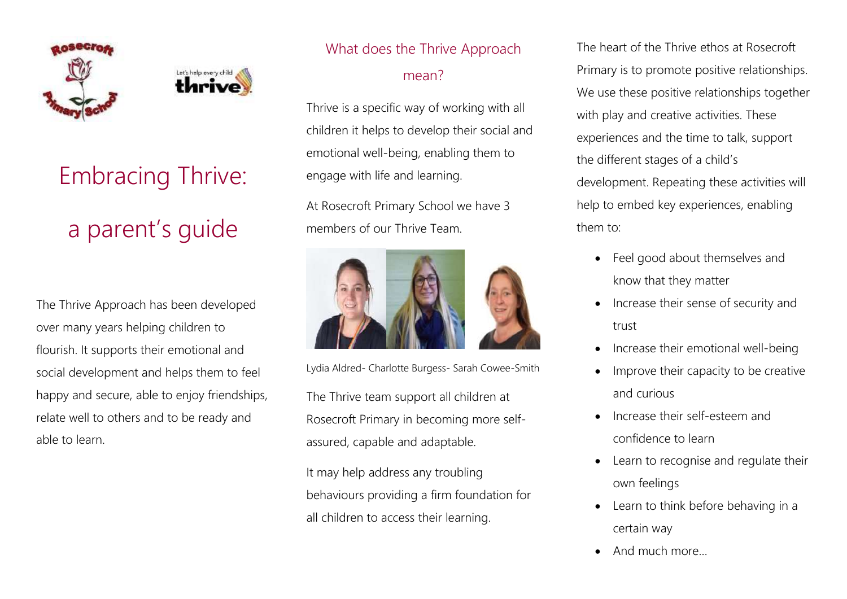



# Embracing Thrive: a parent's guide

The Thrive Approach has been developed over many years helping children to flourish. It supports their emotional and social development and helps them to feel happy and secure, able to enjoy friendships, relate well to others and to be ready and able to learn.

### What does the Thrive Approach

#### mean?

Thrive is a specific way of working with all children it helps to develop their social and emotional well-being, enabling them to engage with life and learning.

At Rosecroft Primary School we have 3 members of our Thrive Team.



Lydia Aldred- Charlotte Burgess- Sarah Cowee-Smith

The Thrive team support all children at Rosecroft Primary in becoming more selfassured, capable and adaptable.

It may help address any troubling behaviours providing a firm foundation for all children to access their learning.

The heart of the Thrive ethos at Rosecroft Primary is to promote positive relationships. We use these positive relationships together with play and creative activities. These experiences and the time to talk, support the different stages of a child's development. Repeating these activities will help to embed key experiences, enabling them to:

- Feel good about themselves and know that they matter
- Increase their sense of security and trust
- Increase their emotional well-being
- Improve their capacity to be creative and curious
- Increase their self-esteem and confidence to learn
- Learn to recognise and regulate their own feelings
- Learn to think before behaving in a certain way
- And much more…